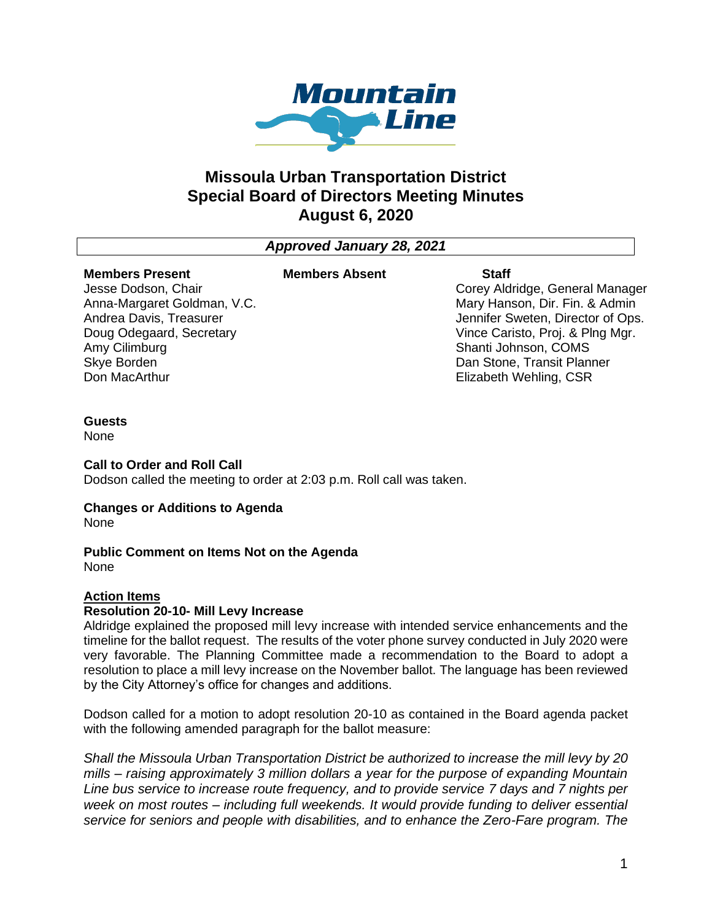

# **Missoula Urban Transportation District Special Board of Directors Meeting Minutes August 6, 2020**

# *Approved January 28, 2021*

#### **Members Present** Jesse Dodson, Chair

Amy Cilimburg Skye Borden Don MacArthur

Anna-Margaret Goldman, V.C. Andrea Davis, Treasurer Doug Odegaard, Secretary

### **Members Absent Staff**

Corey Aldridge, General Manager Mary Hanson, Dir. Fin. & Admin Jennifer Sweten, Director of Ops. Vince Caristo, Proj. & Plng Mgr. Shanti Johnson, COMS Dan Stone, Transit Planner Elizabeth Wehling, CSR

#### **Guests**

None

### **Call to Order and Roll Call**

Dodson called the meeting to order at 2:03 p.m. Roll call was taken.

# **Changes or Additions to Agenda**

None

# **Public Comment on Items Not on the Agenda**

None

# **Action Items**

# **Resolution 20-10- Mill Levy Increase**

Aldridge explained the proposed mill levy increase with intended service enhancements and the timeline for the ballot request. The results of the voter phone survey conducted in July 2020 were very favorable. The Planning Committee made a recommendation to the Board to adopt a resolution to place a mill levy increase on the November ballot. The language has been reviewed by the City Attorney's office for changes and additions.

Dodson called for a motion to adopt resolution 20-10 as contained in the Board agenda packet with the following amended paragraph for the ballot measure:

*Shall the Missoula Urban Transportation District be authorized to increase the mill levy by 20 mills – raising approximately 3 million dollars a year for the purpose of expanding Mountain Line bus service to increase route frequency, and to provide service 7 days and 7 nights per week on most routes – including full weekends. It would provide funding to deliver essential service for seniors and people with disabilities, and to enhance the Zero-Fare program. The*